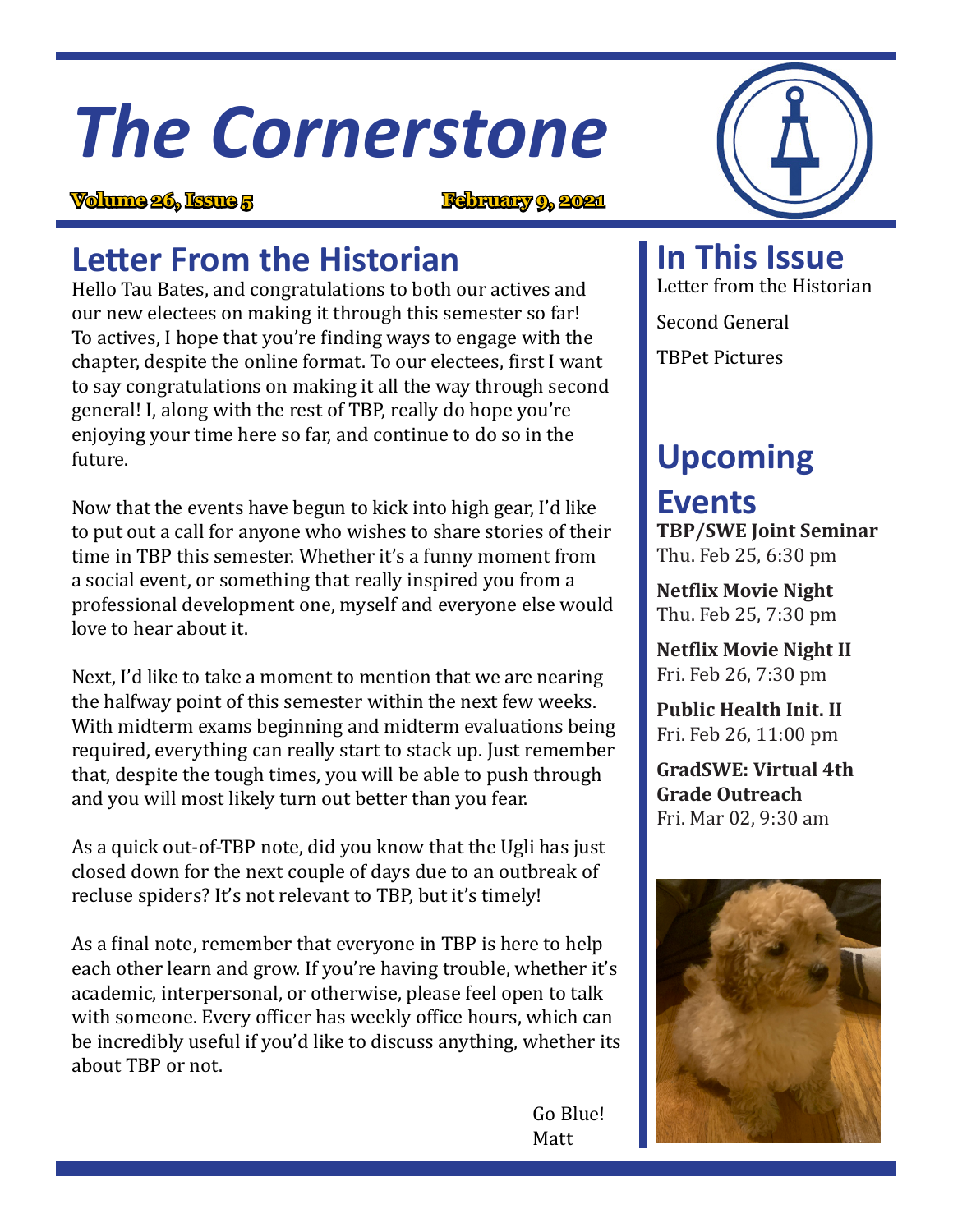## *The Cornerstone*

**Volume 26, Issue 5 February 9, 2021**

#### **Letter From the Historian**

Hello Tau Bates, and congratulations to both our actives and our new electees on making it through this semester so far! To actives, I hope that you're finding ways to engage with the chapter, despite the online format. To our electees, first I want to say congratulations on making it all the way through second general! I, along with the rest of TBP, really do hope you're enjoying your time here so far, and continue to do so in the future.

Now that the events have begun to kick into high gear, I'd like to put out a call for anyone who wishes to share stories of their time in TBP this semester. Whether it's a funny moment from a social event, or something that really inspired you from a professional development one, myself and everyone else would love to hear about it.

Next, I'd like to take a moment to mention that we are nearing the halfway point of this semester within the next few weeks. With midterm exams beginning and midterm evaluations being required, everything can really start to stack up. Just remember that, despite the tough times, you will be able to push through and you will most likely turn out better than you fear.

As a quick out-of-TBP note, did you know that the Ugli has just closed down for the next couple of days due to an outbreak of recluse spiders? It's not relevant to TBP, but it's timely!

As a final note, remember that everyone in TBP is here to help each other learn and grow. If you're having trouble, whether it's academic, interpersonal, or otherwise, please feel open to talk with someone. Every officer has weekly office hours, which can be incredibly useful if you'd like to discuss anything, whether its about TBP or not.

 Go Blue! Matt



**In This Issue**

Letter from the Historian

Second General

TBPet Pictures

### **Upcoming**

**Events TBP/SWE Joint Seminar**  Thu. Feb 25, 6:30 pm

**Netflix Movie Night** Thu. Feb 25, 7:30 pm

**Netflix Movie Night II** Fri. Feb 26, 7:30 pm

**Public Health Init. II** Fri. Feb 26, 11:00 pm

**GradSWE: Virtual 4th Grade Outreach** Fri. Mar 02, 9:30 am

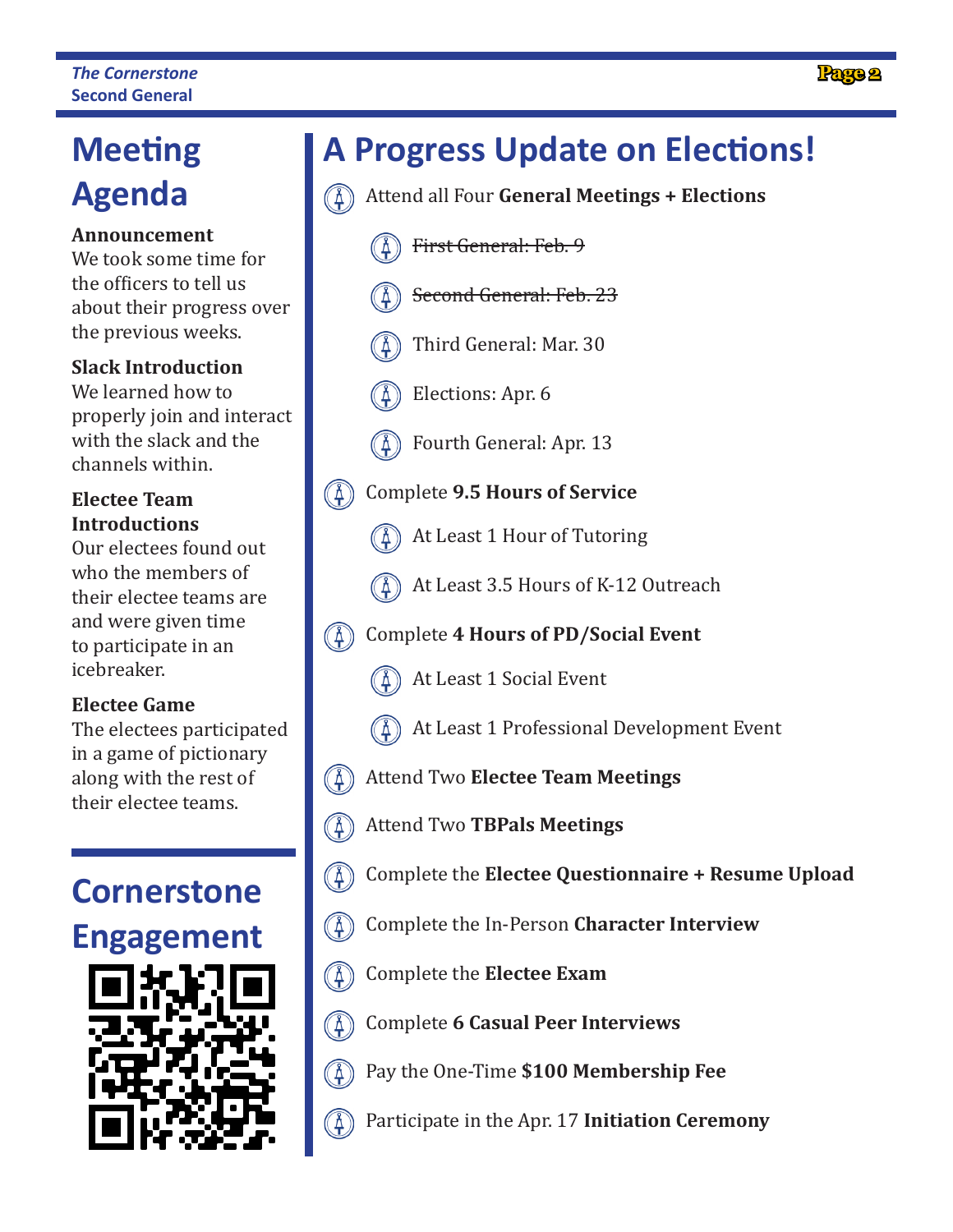# **Agenda**

#### **Announcement**

We took some time for the officers to tell us about their progress over the previous weeks.

#### **Slack Introduction**

We learned how to properly join and interact with the slack and the channels within.

#### **Electee Team Introductions**

Our electees found out who the members of their electee teams are and were given time to participate in an icebreaker.

#### **Electee Game**

The electees participated in a game of pictionary along with the rest of their electee teams.

# **Cornerstone Engagement**

#### **Meeting A Progress Update on Elections!**

- $(\mathbb{A})$ Attend all Four **General Meetings + Elections**
	- First General: Feb. 9
	- Second General: Feb. 23
	- Third General: Mar. 30
		- Elections: Apr. 6
	- Fourth General: Apr. 13
- Complete **9.5 Hours of Service**  $\circled{A}$ 
	- At Least 1 Hour of Tutoring
	- At Least 3.5 Hours of K-12 Outreach
- Complete **4 Hours of PD/Social Event**  $\bigcirc$ 
	- At Least 1 Social Event
	- At Least 1 Professional Development Event
- $\binom{4}{5}$ Attend Two **Electee Team Meetings**
- $(\AA)$ Attend Two **TBPals Meetings**
- $\circledA$ Complete the **Electee Questionnaire + Resume Upload**
- $\circled{4}$ Complete the In-Person **Character Interview**
- $(\AA)$ Complete the **Electee Exam**
- $\circled{4}$ Complete **6 Casual Peer Interviews**
- Pay the One-Time **\$100 Membership Fee**  $\circled{4}$
- $(\mathbb{A})$ Participate in the Apr. 17 **Initiation Ceremony**